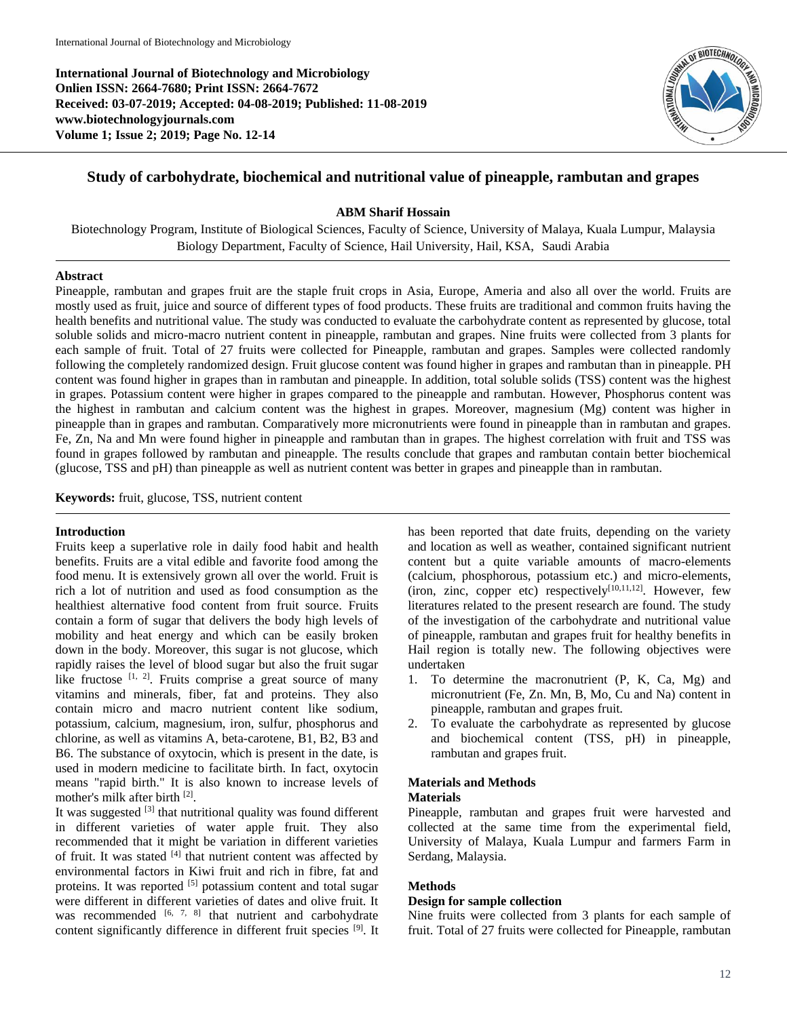**International Journal of Biotechnology and Microbiology Onlien ISSN: 2664-7680; Print ISSN: 2664-7672 Received: 03-07-2019; Accepted: 04-08-2019; Published: 11-08-2019 www.biotechnologyjournals.com Volume 1; Issue 2; 2019; Page No. 12-14**



# **Study of carbohydrate, biochemical and nutritional value of pineapple, rambutan and grapes**

# **ABM Sharif Hossain**

Biotechnology Program, Institute of Biological Sciences, Faculty of Science, University of Malaya, Kuala Lumpur, Malaysia Biology Department, Faculty of Science, Hail University, Hail, KSA, Saudi Arabia

#### **Abstract**

Pineapple, rambutan and grapes fruit are the staple fruit crops in Asia, Europe, Ameria and also all over the world. Fruits are mostly used as fruit, juice and source of different types of food products. These fruits are traditional and common fruits having the health benefits and nutritional value. The study was conducted to evaluate the carbohydrate content as represented by glucose, total soluble solids and micro-macro nutrient content in pineapple, rambutan and grapes. Nine fruits were collected from 3 plants for each sample of fruit. Total of 27 fruits were collected for Pineapple, rambutan and grapes. Samples were collected randomly following the completely randomized design. Fruit glucose content was found higher in grapes and rambutan than in pineapple. PH content was found higher in grapes than in rambutan and pineapple. In addition, total soluble solids (TSS) content was the highest in grapes. Potassium content were higher in grapes compared to the pineapple and rambutan. However, Phosphorus content was the highest in rambutan and calcium content was the highest in grapes. Moreover, magnesium (Mg) content was higher in pineapple than in grapes and rambutan. Comparatively more micronutrients were found in pineapple than in rambutan and grapes. Fe, Zn, Na and Mn were found higher in pineapple and rambutan than in grapes. The highest correlation with fruit and TSS was found in grapes followed by rambutan and pineapple. The results conclude that grapes and rambutan contain better biochemical (glucose, TSS and pH) than pineapple as well as nutrient content was better in grapes and pineapple than in rambutan.

**Keywords:** fruit, glucose, TSS, nutrient content

# **Introduction**

Fruits keep a superlative role in daily food habit and health benefits. Fruits are a vital edible and favorite food among the food menu. It is extensively grown all over the world. Fruit is rich a lot of nutrition and used as food consumption as the healthiest alternative food content from fruit source. Fruits contain a form of sugar that delivers the body high levels of mobility and heat energy and which can be easily broken down in the body. Moreover, this sugar is not glucose, which rapidly raises the level of blood sugar but also the fruit sugar like fructose  $[1, 2]$ . Fruits comprise a great source of many vitamins and minerals, fiber, fat and proteins. They also contain micro and macro nutrient content like sodium, potassium, calcium, magnesium, iron, sulfur, phosphorus and chlorine, as well as vitamins A, beta-carotene, B1, B2, B3 and B6. The substance of oxytocin, which is present in the date, is used in modern medicine to facilitate birth. In fact, oxytocin means "rapid birth." It is also known to increase levels of mother's milk after birth [2].

It was suggested <sup>[3]</sup> that nutritional quality was found different in different varieties of water apple fruit. They also recommended that it might be variation in different varieties of fruit. It was stated [4] that nutrient content was affected by environmental factors in Kiwi fruit and rich in fibre, fat and proteins. It was reported <sup>[5]</sup> potassium content and total sugar were different in different varieties of dates and olive fruit. It was recommended  $[6, 7, 8]$  that nutrient and carbohydrate content significantly difference in different fruit species [9]. It

has been reported that date fruits, depending on the variety and location as well as weather, contained significant nutrient content but a quite variable amounts of macro-elements (calcium, phosphorous, potassium etc.) and micro-elements, (iron, zinc, copper etc) respectively $[10,11,12]$ . However, few literatures related to the present research are found. The study of the investigation of the carbohydrate and nutritional value of pineapple, rambutan and grapes fruit for healthy benefits in Hail region is totally new. The following objectives were undertaken

- 1. To determine the macronutrient (P, K, Ca, Mg) and micronutrient (Fe, Zn. Mn, B, Mo, Cu and Na) content in pineapple, rambutan and grapes fruit.
- 2. To evaluate the carbohydrate as represented by glucose and biochemical content (TSS, pH) in pineapple, rambutan and grapes fruit.

# **Materials and Methods**

# **Materials**

Pineapple, rambutan and grapes fruit were harvested and collected at the same time from the experimental field, University of Malaya, Kuala Lumpur and farmers Farm in Serdang, Malaysia.

# **Methods**

#### **Design for sample collection**

Nine fruits were collected from 3 plants for each sample of fruit. Total of 27 fruits were collected for Pineapple, rambutan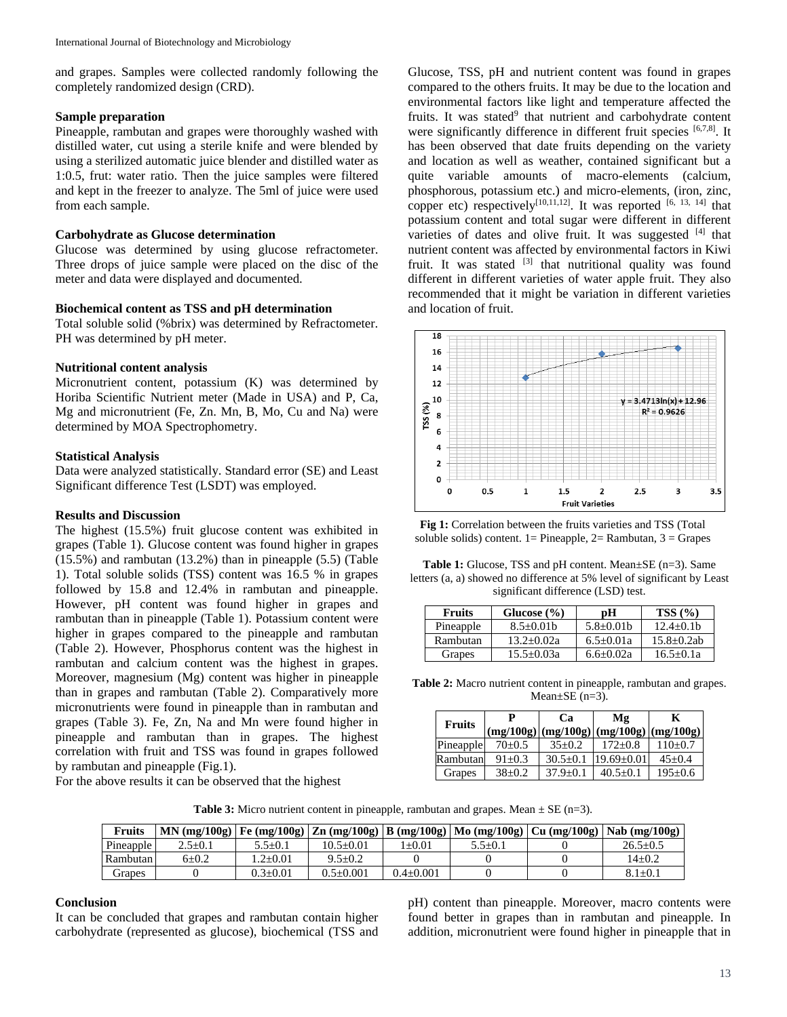and grapes. Samples were collected randomly following the completely randomized design (CRD).

#### **Sample preparation**

Pineapple, rambutan and grapes were thoroughly washed with distilled water, cut using a sterile knife and were blended by using a sterilized automatic juice blender and distilled water as 1:0.5, frut: water ratio. Then the juice samples were filtered and kept in the freezer to analyze. The 5ml of juice were used from each sample.

#### **Carbohydrate as Glucose determination**

Glucose was determined by using glucose refractometer. Three drops of juice sample were placed on the disc of the meter and data were displayed and documented.

# **Biochemical content as TSS and pH determination**

Total soluble solid (%brix) was determined by Refractometer. PH was determined by pH meter.

#### **Nutritional content analysis**

Micronutrient content, potassium (K) was determined by Horiba Scientific Nutrient meter (Made in USA) and P, Ca, Mg and micronutrient (Fe, Zn. Mn, B, Mo, Cu and Na) were determined by MOA Spectrophometry.

#### **Statistical Analysis**

Data were analyzed statistically. Standard error (SE) and Least Significant difference Test (LSDT) was employed.

# **Results and Discussion**

The highest (15.5%) fruit glucose content was exhibited in grapes (Table 1). Glucose content was found higher in grapes (15.5%) and rambutan (13.2%) than in pineapple (5.5) (Table 1). Total soluble solids (TSS) content was 16.5 % in grapes followed by 15.8 and 12.4% in rambutan and pineapple. However, pH content was found higher in grapes and rambutan than in pineapple (Table 1). Potassium content were higher in grapes compared to the pineapple and rambutan (Table 2). However, Phosphorus content was the highest in rambutan and calcium content was the highest in grapes. Moreover, magnesium (Mg) content was higher in pineapple than in grapes and rambutan (Table 2). Comparatively more micronutrients were found in pineapple than in rambutan and grapes (Table 3). Fe, Zn, Na and Mn were found higher in pineapple and rambutan than in grapes. The highest correlation with fruit and TSS was found in grapes followed by rambutan and pineapple (Fig.1).

For the above results it can be observed that the highest

Glucose, TSS, pH and nutrient content was found in grapes compared to the others fruits. It may be due to the location and environmental factors like light and temperature affected the fruits. It was stated<sup>9</sup> that nutrient and carbohydrate content were significantly difference in different fruit species [6,7,8]. It has been observed that date fruits depending on the variety and location as well as weather, contained significant but a quite variable amounts of macro-elements (calcium, phosphorous, potassium etc.) and micro-elements, (iron, zinc, copper etc) respectively<sup>[10,11,12]</sup>. It was reported  $[6, 13, 14]$  that potassium content and total sugar were different in different varieties of dates and olive fruit. It was suggested [4] that nutrient content was affected by environmental factors in Kiwi fruit. It was stated  $[3]$  that nutritional quality was found different in different varieties of water apple fruit. They also recommended that it might be variation in different varieties and location of fruit.





**Table 1:** Glucose, TSS and pH content. Mean±SE (n=3). Same letters (a, a) showed no difference at 5% level of significant by Least significant difference (LSD) test.

| <b>Fruits</b> | Glucose $(\% )$ | рH            | TSS(%)         |  |
|---------------|-----------------|---------------|----------------|--|
| Pineapple     | $8.5 + 0.01b$   | $5.8+0.01b$   | $12.4 + 0.1b$  |  |
| Rambutan      | $13.2 + 0.02a$  | $6.5+0.01a$   | $15.8 + 0.2ab$ |  |
| Grapes        | $15.5 + 0.03a$  | $6.6 + 0.02a$ | $16.5 + 0.1a$  |  |

**Table 2:** Macro nutrient content in pineapple, rambutan and grapes. Mean $\pm$ SE (n=3).

| <b>Fruits</b> |            | Cэ           | Mφ<br>$(mg/100g)$ $(mg/100g)$ $(mg/100g)$ $(mg/100g)$ | K             |  |
|---------------|------------|--------------|-------------------------------------------------------|---------------|--|
| Pineapple     | $70+0.5$   | $35+0.2$     | $172+0.8$                                             | $110\pm0.7$   |  |
| Rambutan      | $91 + 0.3$ | $30.5 + 0.1$ | $19.69 \pm 0.01$                                      | $45+0.4$      |  |
| Grapes        | $38+0.2$   | $37.9 + 0.1$ | $40.5 \pm 0.1$                                        | $195 \pm 0.6$ |  |

**Table 3:** Micro nutrient content in pineapple, rambutan and grapes. Mean  $\pm$  SE (n=3).

| <b>Fruits</b> |               |                |               |                 |               | MN $(mg/100g)$ Fe $(mg/100g)$ Zn $(mg/100g)$ B $(mg/100g)$ Mo $(mg/100g)$ Cu $(mg/100g)$ Nab $(mg/100g)$ |
|---------------|---------------|----------------|---------------|-----------------|---------------|----------------------------------------------------------------------------------------------------------|
| Pineapple     | $2.5 \pm 0.1$ | $5.5 \pm 0.1$  | $10.5 + 0.01$ | $+0.01$         | $5.5 \pm 0.1$ | 26.5±0.5                                                                                                 |
| Rambutan      | $6+0.2$       | $2+0.01$       | $9.5 + 0.2$   |                 |               | $14 + 0.2$                                                                                               |
| Granes        |               | $0.3 \pm 0.01$ | $0.5+0.001$   | $0.4 \pm 0.001$ |               | $8.1 \pm 0.1$                                                                                            |

# **Conclusion**

It can be concluded that grapes and rambutan contain higher carbohydrate (represented as glucose), biochemical (TSS and pH) content than pineapple. Moreover, macro contents were found better in grapes than in rambutan and pineapple. In addition, micronutrient were found higher in pineapple that in